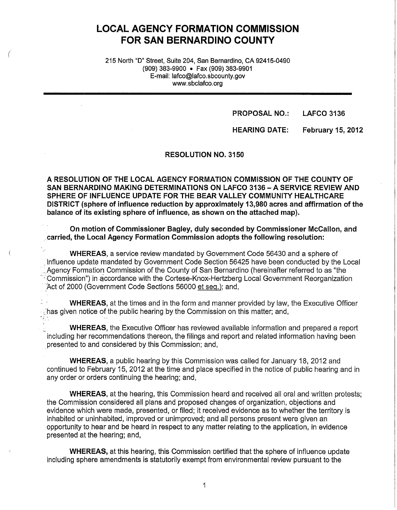# **LOCAL AGENCY FORMATION COMMISSION FOR SAN BERNARDINO COUNTY**

215 North "D" Street, Suite 204, San Bernardino, CA 92415-0490 (909) 383-9900 • Fax (909) 383-9901 E-mail: lafco@lafco.sbcounty.gov www.sbclafco.org

(

**PROPOSAL NO.: LAFCO 3136** 

**HEARING DATE: February 15, 2012** 

**RESOLUTION NO. 3150** 

**A RESOLUTION OF THE LOCAL AGENCY FORMATION COMMISSION OF THE COUNTY OF SAN BERNARDINO MAKING DETERMINATIONS ON LAFCO 3136-A SERVICE REVIEW AND SPHERE OF INFLUENCE UPDATE FOR THE BEAR VALLEY COMMUNITY HEALTHCARE DISTRICT (sphere of influence reduction by approximately 13,980 acres and affirmation of the balance of its existing sphere of influence, as shown on the attached map).** 

**On motion of Commissioner Bagley, duly seconded by Commissioner McCallon, and**  . **carried, the Local Agency Formation Commission adopts the following resolution:** 

**WHEREAS,** a service review mandated by Government Code 56430 and a sphere of . influence update mandated by Government Code Section 56425 have been conducted by the Local . Agency Formation Commission of the County of San Bernardino (hereinafter referred to as "the Commission") in accordance with the Cortese-Knox-Hertzberg Local Government Reorganization Act of 2000 (Government Code Sections 56000 et seq.); and,

**WHEREAS,** at the times and in the form and manner provided by law, the Executive Officer has given notice of the public hearing by the Commission on this matter; and,  $\gamma_{\alpha}$  .

**WHEREAS,** the Executive Officer has reviewed available information and prepared a report including her recommendations thereon, the filings and report and related information having been . presented to and considered by this Commission; and,

**WHEREAS,** a public hearing by this Commission was called for January 18, 2012 and continued to February 15, 2012 at the time and place specified in the notice of public hearing and in any order or orders continuing the hearing; and,

**WHEREAS,** at the hearing, this Commission heard and received all oral and written protests; the Commission considered all plans and proposed changes of organization, objections and evidence which were made, presented, or filed; it received evidence as to whether the territory is inhabited or uninhabited, improved or unimproved; and all persons present were given an opportunity to hear and be heard in respect to any matter relating to the application, in evidence presented at the hearing; and,

**WHEREAS,** at this hearing, this Commission certified that the sphere of influence update including sphere amendments is statutorily exempt from environmental review pursuant to the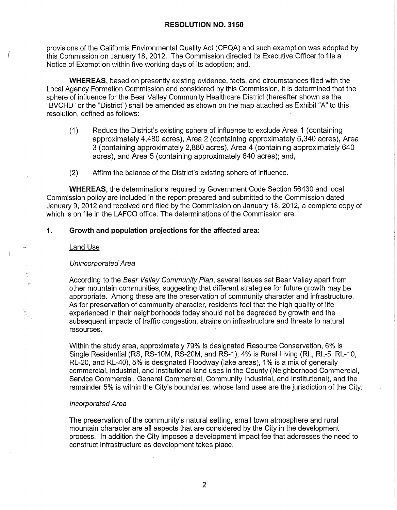provisions of the California Environmental Quality Act (CEQA) and such exemption was adopted by this Commission on January 18, 2012. The Commission directed its Executive Officer to file a Notice of Exemption within five working days of its adoption; and,

**WHEREAS,** based on presently existing evidence, facts, and circumstances filed with the Local Agency Formation Commission and considered by this Commission, it is determined that the sphere of influence for the Bear Valley Community Healthcare District (hereafter shown as the "BVCHD" or the "District") shall be amended as shown on the map attached as Exhibit "A" to this resolution, defined as follows:

- ( 1) Reduce the District's existing sphere of influence to exclude Area 1 ( containing approximately 4,480 acres), Area 2 (containing approximately 5,340 acres), Area 3 (containing approximately 2,880 acres), Area 4 (containing approximately 640 acres), and Area 5 (containing approximately 640 acres); and,
- (2) Affirm the balance of the District's existing sphere of influence.

**WHEREAS,** the determinations required by Government Code Section 56430 and local Commission policy are included in the report prepared and submitted to the Commission dated January 9, 2012 and received and filed by the Commission on January 18, 2012, a complete copy of which is on file in the LAFCO office. The determinations of the Commission are:

# **1. Growth and population projections for the affected area:**

### Land Use

### Unincorporated Area

According to the Bear Valley Community Plan, several issues set Bear Valley apart from other mountain communities, suggesting that different strategies for future growth may be appropriate. Among these are the preservation of community character and infrastructure. As for preservation of community character, residents feel that the high quality of life experienced in their neighborhoods today should not be degraded by growth and the subsequent impacts of traffic congestion, strains on infrastructure and threats to natural resources.

Within the study area, approximately 79% is designated Resource Conservation, 6% is Single Residential (RS, RS-10M, RS-20M, and RS-1), 4% is Rural Living (RL, RL-5, RL-10, RL-20, and RL-40), 5% is designated Floodway (lake areas), 1 % is a mix of generally commercial, industrial, and institutional land uses in the County (Neighborhood Commercial, Service Commercial, General Commercial, Community Industrial, and Institutional), and the remainder 5% is within the City's boundaries, whose land uses are the jurisdiction of the City.

#### Incorporated Area

The preservation of the community's natural setting, small town atmosphere and rural mountain character are all aspects that are considered by the City in the development process. In addition the City imposes a development impact fee that addresses the need to construct infrastructure as development takes place.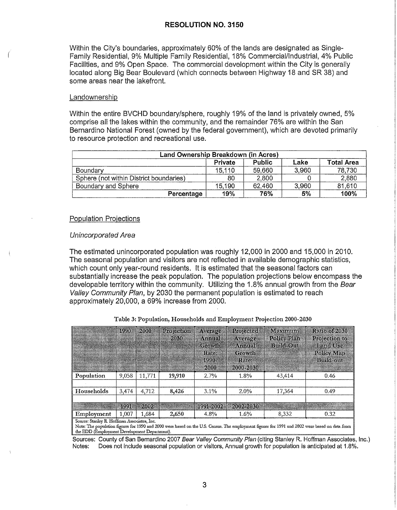Within the City's boundaries, approximately 60% of the lands are designated as Single-Family Residential, 9% Multiple Family Residential, 18% Commercial/Industrial, 4% Public Facilities, and 9% Open Space. The commercial development within the City is generally located along Big Bear Boulevard (which connects between Highway 18 and SR 38) and some areas near the lakefront.

#### Landownership

Within the entire BVCHD boundary/sphere, roughly 19% of the land is privately owned, 5% comprise all the lakes within the community, and the remainder 76% are within the San Bernardino National Forest (owned by the federal government), which are devoted primarily to resource protection and recreational use.

| Land Ownership Breakdown (in Acres)     |         |               |       |                   |  |
|-----------------------------------------|---------|---------------|-------|-------------------|--|
|                                         | Private | <b>Public</b> | Lake  | <b>Total Area</b> |  |
| Boundary                                | 15,110  | 59,660        | 3,960 | 78,730            |  |
| Sphere (not within District boundaries) | 80      | 2,800         |       | 2,880             |  |
| Boundary and Sphere                     | 15,190  | 62,460        | 3,960 | 81,610            |  |
| Percentage                              | 19%     | 76%           | 5%    | 100%              |  |

#### Population Projections

#### Unincorporated Area

The estimated unincorporated population was roughly 12,000 in 2000 and 15,000 in 2010. The seasonal population and visitors are not reflected in available demographic statistics, which count only year-round residents. It is estimated that the seasonal factors can substantially increase the peak population. The population projections below encompass the developable territory within the community. Utilizing the 1.8% annual growth from the Bear Valley Community Plan, by 2030 the permanent population is estimated to reach approximately 20,000, a 69% increase from 2000.

|                                                                                                                                                                                            | 1990  | 2000   | Projection<br>2030 | Average<br>Amnal<br>Growth<br>Rate:<br>$1990 -$<br>2000 | Projected<br>Average<br>Ammal<br><b>Growth</b><br>Rate:<br>2000-2030 | Maximum<br>Policy Plan<br><b>Build-Out</b> | Ratio of 2030<br>Projection to<br><b>Land Use</b><br>Policy Map<br><b>Build-out</b> |
|--------------------------------------------------------------------------------------------------------------------------------------------------------------------------------------------|-------|--------|--------------------|---------------------------------------------------------|----------------------------------------------------------------------|--------------------------------------------|-------------------------------------------------------------------------------------|
| Population                                                                                                                                                                                 | 9.058 | 11.771 | 19,910             | 2.7%                                                    | 1.8%                                                                 | 43,414                                     | 0.46                                                                                |
|                                                                                                                                                                                            |       |        |                    |                                                         |                                                                      |                                            |                                                                                     |
| Households                                                                                                                                                                                 | 3,474 | 4,712  | 8,426              | 3.1%                                                    | 2.0%                                                                 | 17,364                                     | 0.49                                                                                |
|                                                                                                                                                                                            |       |        |                    |                                                         |                                                                      |                                            |                                                                                     |
|                                                                                                                                                                                            | 1991  | 2002   |                    | 1991-2002                                               | 2002-2030                                                            |                                            |                                                                                     |
| Employment                                                                                                                                                                                 | 1,007 | 1.684  | 2,650              | $4.8\%$                                                 | 1.6%                                                                 | 8,332                                      | 0.32                                                                                |
| Source: Stanley R. Hoffman Associates, Inc.<br>Mote: The conviction forces for 1990 and 2000 were based on the U.S. Census The employment former for 1991 and 2002 were based on data from |       |        |                    |                                                         |                                                                      |                                            |                                                                                     |

Table 3: Population, Households and Employment Projection 2000-2030

ote: The population figures for 1990 and 2000 were based on the U.S. Census. The employment figures for 1991 and 2002 were based on data from  $\parallel$ 

Sources: County of San Bernardino 2007 Bear Valley Community Plan (citing Stanley R. Hoffman Associates, Inc.) Notes: Does not include seasonal population or visitors, Annual growth for population is anticipated at 1.8%.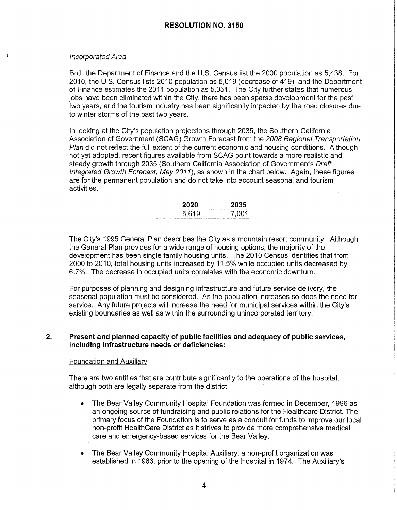#### Incorporated Area

Both the Department of Finance and the U.S. Census list the 2000 population as 5,438. For 2010, the U.S. Census lists 2010 population as 5,019 (decrease of 419), and the Department of Finance estimates the 2011 population as 5,051. The City further states that numerous jobs have been eliminated within the City, there has been sparse development for the past two years, and the tourism industry has been significantly impacted by the road closures due to winter storms of the past two years.

In looking at the City's population projections through 2035, the Southern California Association of Government (SCAG) Growth Forecast from the 2008 Regional Transportation Plan did not reflect the full extent of the current economic and housing conditions. Although not yet adopted, recent figures available from SCAG point towards a more realistic and steady growth through 2035 (Southern California Association of Governments Draft Integrated Growth Forecast, May 2011), as shown in the chart below. Again, these figures are for the permanent population and do not take into account seasonal and tourism activities.

| 2020  | 2035  |
|-------|-------|
| 5,619 | 7.001 |

The City's 1995 General Plan describes the City as a mountain resort community. Although the General Plan provides for a wide range of housing options, the majority of the development has been single family housing units. The 2010 Census identifies that from 2000 to 2010, total housing units increased by 11.5% while occupied units decreased by 6. 7%. The decrease in occupied units correlates with the economic downturn.

For purposes of planning and designing infrastructure and future service delivery, the seasonal population must be considered. As the population increases so does the need for service. Any future projects will increase the need for municipal services within the City's existing boundaries as well as within the surrounding unincorporated territory.

### **2. Present and planned capacity of public facilities and adequacy of public services, including infrastructure needs or deficiencies:**

#### Foundation and Auxiliary

There are two entities that are contribute significantly to the operations of the hospital, although both are legally separate from the district:

- The Bear Valley Community Hospital Foundation was formed in December, 1996 as an ongoing source of fundraising and public relations for the Healthcare District. The primary focus of the Foundation is to serve as a conduit for funds to improve our local non-profit HealthCare District as it strives to provide more comprehensive medical care and emergency-based services for the Bear Valley.
- The Bear Valley Community Hospital Auxiliary, a non-profit organization was established in 1966, prior to the opening of the Hospital in 1974. The Auxiliary's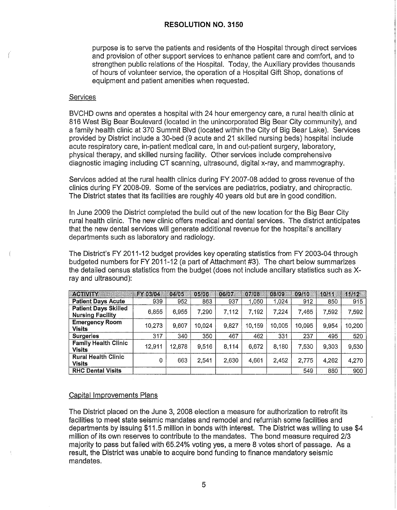purpose is to serve the patients and residents of the Hospital through direct services and provision of other support services to enhance patient care and comfort, and to strengthen public relations of the Hospital. Today, the Auxiliary provides thousands of hours of volunteer service, the operation of a Hospital Gift Shop, donations of equipment and patient amenities when requested.

#### **Services**

BVCHD owns and operates a hospital with 24 hour emergency care, a rural health clinic at 816 West Big Bear Boulevard (located in the unincorporated Big Bear City community), and a family health clinic at 370 Summit Blvd (located within the City of Big Bear Lake). Services provided by District include a 30-bed (9 acute and 21 skilled nursing beds) hospital include acute respiratory care, in-patient medical care, in and out-patient surgery, laboratory, physical therapy, and skilled nursing facility. Other services include comprehensive diagnostic imaging including CT scanning, ultrasound, digital x-ray, and mammography.

Services added at the rural health clinics during FY 2007-08 added to gross revenue of the clinics during FY 2008-09. Some of the services are pediatrics, podiatry, and chiropractic. The District states that its facilities are roughly 40 years old but are in good condition.

In June 2009 the District completed the build out of the new location for the Big Bear City rural health clinic. The new clinic offers medical and dental services. The district anticipates that the new dental services will generate additional revenue for the hospital's ancillary departments such as laboratory and radiology.

The District's FY 2011-12 budget provides key operating statistics from FY 2003-04 through budgeted numbers for FY 2011-12 (a part of Attachment #3). The chart below summarizes the detailed census statistics from the budget (does not include ancillary statistics such as Xray and ultrasound):

| ACTIVITY<br>RA SIRIKI                                  | 12Y 03Y 02Y | 04/05  | 0.5/06 | 06/07 | 07/03  | 08/09  | 09/10  | 10/11 | 44/42  |
|--------------------------------------------------------|-------------|--------|--------|-------|--------|--------|--------|-------|--------|
| <b>Patient Days Acute</b>                              | 939         | 952    | 863    | 937   | 1.050  | 1.024  | 912    | 850   | 915    |
| <b>Patient Days Skilled</b><br><b>Nursing Facility</b> | 6,855       | 6,955  | 7,290  | 7,112 | 7,192  | 7.224  | 7.465  | 7.592 | 7,592  |
| <b>Emergency Room</b><br><b>Visits</b>                 | 10,273      | 9.607  | 10,024 | 9.827 | 10.159 | 10,005 | 10.095 | 9.954 | 10,200 |
| <b>Surgeries</b>                                       | 317         | 340    | 350    | 467   | 462    | 331    | 237    | 495   | 520    |
| <b>Family Health Clinic</b><br><b>Visits</b>           | 12.911      | 12,878 | 9.516  | 8,114 | 6,672  | 8,180  | 7,530  | 9,303 | 9,530  |
| <b>Rural Health Clinic</b><br><b>Visits</b>            | 0           | 663    | 2,541  | 2,630 | 4,661  | 2,452  | 2,775  | 4,262 | 4,270  |
| <b>RHC Dental Visits</b>                               |             |        |        |       |        |        | 549    | 880   | 900    |

### Capital Improvements Plans

The District placed on the June 3, 2008 election a measure for authorization to retrofit its facilities to meet state seismic mandates and remodel and refurnish some facilities and departments by issuing \$11.5 million in bonds with interest. The District was willing to use \$4 million of its own reserves to contribute to the mandates. The bond measure required 2/3 majority to pass but failed with 65.24% voting yes, a mere 8 votes short of passage. As a result, the District was unable to acquire bond funding to finance mandatory seismic mandates.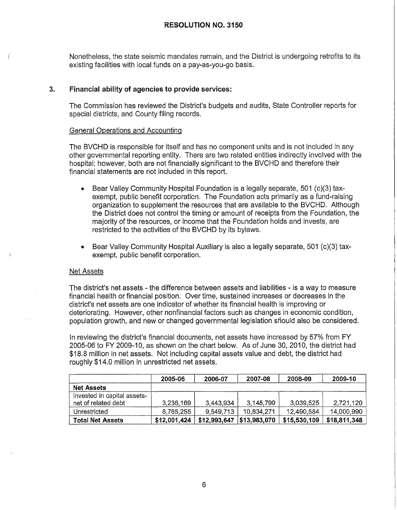Nonetheless, the state seismic mandates remain, and the District is undergoing retrofits to its existing facilities with local funds on a pay-as-you-go basis.

# **3. Financial ability of agencies to provide services:**

The Commission has reviewed the District's budgets and audits, State Controller reports for special districts, and County filing records.

### General Operations and Accounting

The BVCHD is responsible for itself and has no component units and is not included in any other governmental reporting entity. There are two related entities indirectly involved with the hospital; however, both are not financially significant to the BVCHD and therefore their financial statements are not included in this report.

- Bear Valley Community Hospital Foundation is a legally separate, 501 (c)(3) taxexempt, public benefit corporation. The Foundation acts primarily as a fund-raising organization to supplement the resources that are available to the BVCHD. Although the District does not control the timing or amount of receipts from the Foundation, the majority of the resources, or income that the Foundation holds and invests, are restricted to the activities of the BVCHD by its bylaws.
- Bear Valley Community Hospital Auxiliary is also a legally separate, 501 (c)(3) taxexempt, public benefit corporation.

### Net Assets

The district's net assets - the difference between assets and liabilities - is a way to measure financial health or financial position. Over time, sustained increases or decreases in the district's net assets are one indicator of whether its financial health is improving or deteriorating. However, other nonfinancial factors such as changes in economic condition, population growth, and new or changed governmental legislation should also be considered.

In reviewing the district's financial documents, net assets have increased by 57% from FY 2005-06 to FY 2009-10, as shown on the chart below. As of June 30, 2010, the district had \$18.8 million in net assets. Not including capital assets value and debt, the district had roughly \$14.0 million in unrestricted net assets.

|                                                    | 2005-06      | 2006-07      | 2007-08      | 2008-09      | 2009-10      |
|----------------------------------------------------|--------------|--------------|--------------|--------------|--------------|
| <b>Net Assets</b>                                  |              |              |              |              |              |
| Invested in capital assets-<br>net of related debt | 3,236,169    | 3,443,934    | 3,148,799    | 3,039,525    | 2,721,120    |
| Unrestricted                                       | 8,765,255    | 9.549.713    | 10.834.271   | 12,490,584   | 14,000,990   |
| <b>Total Net Assets</b>                            | \$12,001,424 | \$12,993,647 | \$13,983,070 | \$15,530,109 | \$18,811,348 |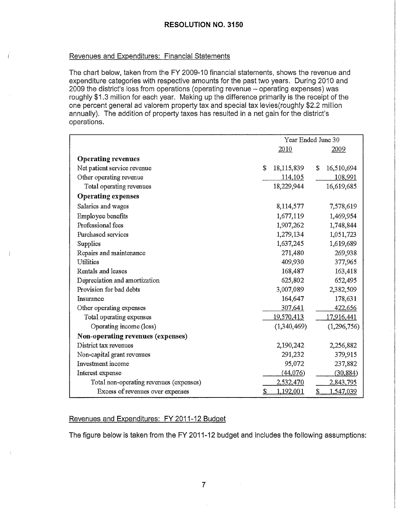### Revenues and Expenditures: Financial Statements

The chart below, taken from the FY 2009-10 financial statements, shows the revenue and expenditure categories with respective amounts for the past two years. During 2010 and 2009 the district's loss from operations (operating revenue - operating expenses) was roughly \$1.3 million for each year. Making up the difference primarily is the receipt of the one percent general ad valorem property tax and special tax levies(roughly \$2.2 million annually). The addition of property taxes has resulted in a net gain for the district's operations.

|                                         | Year Ended June 30 |             |                       |  |
|-----------------------------------------|--------------------|-------------|-----------------------|--|
|                                         |                    | 2010        | 2009                  |  |
| <b>Operating revenues</b>               |                    |             |                       |  |
| Net patient service revenue             | S                  | 18,115,839  | 16,510,694<br>S       |  |
| Other operating revenue                 |                    | 114,105     | 108,991               |  |
| Total operating revenues                |                    | 18,229,944  | 16,619,685            |  |
| <b>Operating expenses</b>               |                    |             |                       |  |
| Salaries and wages                      |                    | 8,114,577   | 7,578,619             |  |
| Employee benefits                       |                    | 1,677,119   | 1,469,954             |  |
| Professional fees                       |                    | 1,907,262   | 1,748,844             |  |
| Purchased services                      |                    | 1,279,134   | 1,051,723             |  |
| Supplies                                |                    | 1,637,245   | 1,619,689             |  |
| Repairs and maintenance                 |                    | 271,480     | 269,938               |  |
| Utilities                               |                    | 409,930     | 377,965               |  |
| Rentals and leases                      |                    | 168,487     | 163,418               |  |
| Depreciation and amortization           |                    | 625,802     | 652,495               |  |
| Provision for bad debts                 |                    | 3,007,089   | 2,382,509             |  |
| Insurance                               |                    | 164,647     | 178,631               |  |
| Other operating expenses                |                    | 307,641     | 422,656               |  |
| Total operating expenses                |                    | 19,570,413  | 17,916,441            |  |
| Operating income (loss)                 |                    | (1,340,469) | (1, 296, 756)         |  |
| Non-operating revenues (expenses)       |                    |             |                       |  |
| District tax revenues                   |                    | 2,190,242   | 2,256,882             |  |
| Non-capital grant revenues              |                    | 291,232     | 379,915               |  |
| Investment income                       |                    | 95,072      | 237,882               |  |
| Interest expense                        |                    | (44,076)    | (30, 884)             |  |
| Total non-operating revenues (expenses) |                    | 2,532,470   | 2,843,795             |  |
| Excess of revenues over expenses        | £                  | 1,192,001   | £<br><u>1,547,039</u> |  |

#### Revenues and Expenditures: FY 2011-12 Budget

The figure below is taken from the FY 2011-12 budget and includes the following assumptions: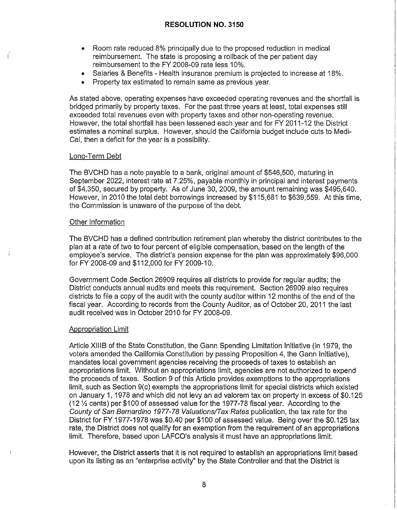- Room rate reduced 8% principally due to the proposed reduction in medical reimbursement. The state is proposing a rollback of the per patient day reimbursement to the FY 2008-09 rate less 10%.
- Salaries & Benefits Health insurance premium is projected to increase at 18%.
- Property tax estimated to remain same as previous year.

As stated above, operating expenses have exceeded operating revenues and the shortfall is bridged primarily by property taxes. For the past three years at least, total expenses still exceeded total revenues even with property taxes and other non-operating revenue. However, the total shortfall has been lessened each year and for FY 2011-12 the District estimates a nominal surplus. However, should the California budget include cuts to Medi-Cal, then a deficit for the year is a possibility.

### Long-Term Debt

The BVCHD has a note payable to a bank, original amount of \$546,500, maturing in September 2022, interest rate at 7.25%, payable monthly in principal and interest payments of \$4,350, secured by property. As of June 30, 2009, the amount remaining was \$495,640. However, in 2010 the total debt borrowings increased by \$115,681 to \$639,559. At this time, the Commission is unaware of the purpose of the debt.

#### Other Information

The BVCHD has a defined contribution retirement plan whereby the district contributes to the plan at a rate of two to four percent of eligible compensation, based on the length of the employee's service. The district's pension expense for the plan was approximately \$96,000 for FY 2008-09 and \$112,000 for FY 2009-10.

Government Code Section 26909 requires all districts to provide for regular audits; the District conducts annual audits and meets this requirement. Section 26909 also requires districts to file a copy of the audit with the county auditor within 12 months of the end of the fiscal year. According to records from the County Auditor, as of October 20, 2011 the last audit received was in October 2010 for FY 2008-09.

### Appropriation Limit

Article XIIIB of the State Constitution, the Gann Spending Limitation Initiative (in 1979, the voters amended the California Constitution by passing Proposition 4, the Gann Initiative), mandates local government agencies receiving the proceeds of taxes to establish an appropriations limit. Without an appropriations limit, agencies are not authorized to expend the proceeds of taxes. Section 9 of this Article provides exemptions to the appropriations limit, such as Section 9(c) exempts the appropriations limit for special districts which existed on January 1, 1978 and which did not levy an ad valorem tax on property in excess of \$0.125 (12 ½ cents) per \$100 of assessed value for the 1977-78 fiscal year. According to the County of San Bernardino 1977-78 Valuations/Tax Rates publication, the tax rate for the District for FY 1977-1978 was \$0.40 per \$100 of assessed value. Being over the \$0.125 tax rate, the District does not qualify for an exemption from the requirement of an appropriations limit. Therefore, based upon LAFCO's analysis it must have an appropriations limit.

However, the District asserts that it is not required to establish an appropriations limit based upon its listing as an "enterprise activity'' by the State Controller and that the District is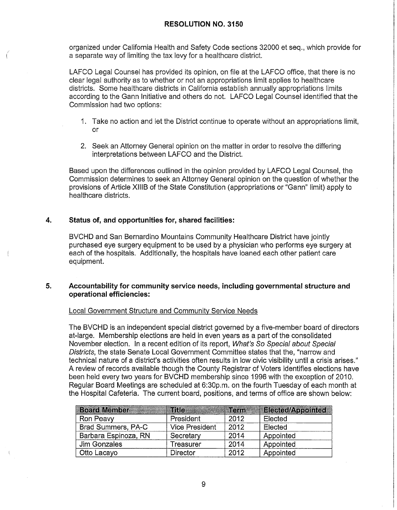organized under California Health and Safety Code sections 32000 et seq., which provide for a separate way of limiting the tax levy for a healthcare district.

LAFCO Legal Counsel has provided its opinion, on file at the LAFCO office, that there is no clear legal authority as to whether or not an appropriations limit applies to healthcare districts. Some healthcare districts in California establish annually appropriations limits according to the Gann Initiative and others do not. LAFCO Legal Counsel identified that the Commission had two options:

- 1. Take no action and let the District continue to operate without an appropriations limit, or
- 2. Seek an Attorney General opinion on the matter in order to resolve the differing interpretations between LAFCO and the District.

Based upon the differences outlined in the opinion provided by LAFCO Legal Counsel, the Commission determines to seek an Attorney General opinion on the question of whether the provisions of Article XIIIB of the State Constitution (appropriations or "Gann" limit) apply to healthcare districts.

# **4. Status of, and opportunities for, shared facilities:**

*(* 

BVCHD and San Bernardino Mountains Community Healthcare District have jointly purchased eye surgery equipment to be used by a physician who performs eye surgery at each of the hospitals. Additionally, the hospitals have loaned each other patient care equipment.

# **5. Accountability for community service needs, including governmental structure and operational efficiencies:**

### Local Government Structure and Community Service Needs

The BVCHD is an independent special district governed by a five-member board of directors at-large. Membership elections are held in even years as a part of the consolidated November election. In a recent edition of its report, What's So Special about Special Districts, the state Senate Local Government Committee states that the, "narrow and technical nature of a district's activities often results in low civic visibility until a crisis arises." A review of records available though the County Registrar of Voters identifies elections have been held every two years for BVCHD membership since 1996 with the exception of 2010. Regular Board Meetings are scheduled at 6:30p.m. on the fourth Tuesday of each month at the Hospital Cafeteria. The current board, positions, and terms of office are shown below:

| <b>Board Member 1999 Board Member</b> |                       | Term | <b>Elected/Appointed</b> |
|---------------------------------------|-----------------------|------|--------------------------|
| Ron Peavy                             | President             | 2012 | Elected                  |
| Brad Summers, PA-C                    | <b>Vice President</b> | 2012 | Elected                  |
| Barbara Espinoza, RN                  | Secretary             | 2014 | Appointed                |
| Jim Gonzales                          | Treasurer             | 2014 | Appointed                |
| Otto Lacayo                           | <b>Director</b>       | 2012 | Appointed                |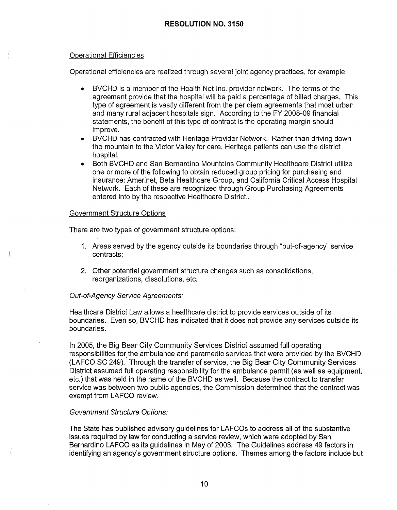# Operational Efficiencies

(

Operational efficiencies are realized through several joint agency practices, for example:

- BVCHD is a member of the Health Net Inc. provider network. The terms of the agreement provide that the hospital will be paid a percentage of billed charges. This type of agreement is vastly different from the per diem agreements that most urban and many rural adjacent hospitals sign. According to the FY 2008-09 financial statements, the benefit of this type of contract is the operating margin should improve.
- BVCHD has contracted with Heritage Provider Network. Rather than driving down the mountain to the Victor Valley for care, Heritage patients can use the district hospital.
- Both BVCHD and San Bernardino Mountains Community Healthcare District utilize one or more of the following to obtain reduced group pricing for purchasing and insurance: Amerinet, Beta Healthcare Group, and California Critical Access Hospital Network. Each of these are recognized through Group Purchasing Agreements entered into by the respective Healthcare District..

#### Government Structure Options

There are two types of government structure options:

- 1. Areas served by the agency outside its boundaries through "out-of-agency'' service contracts;
- 2. Other potential government structure changes such as consolidations, reorganizations, dissolutions, etc.

### Out-of-Agency Service Agreements:

Healthcare District Law allows a healthcare district to provide services outside of its boundaries. Even so, BVCHD has indicated that it does not provide any services outside its boundaries.

In 2005, the Big Bear City Community Services District assumed full operating responsibilities for the ambulance and paramedic services that were provided by the BVCHD (LAFCO SC 249). Through the transfer of service, the Big Bear City Community Services District assumed full operating responsibility for the ambulance permit (as well as equipment, etc.) that was held in the name of the BVCHD as well. Because the contract to transfer service was between two public agencies, the Commission determined that the contract was exempt from LAFCO review.

### Government Structure Options:

The State has published advisory guidelines for LAFCOs to address all of the substantive issues required by law for conducting a service review, which were adopted by San Bernardino LAFCO as its guidelines in May of 2003. The Guidelines address 49 factors in identifying an agency's government structure options. Themes among the factors include but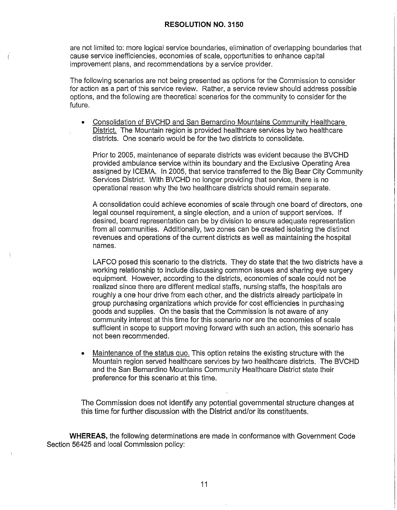are not limited to: more logical service boundaries, elimination of overlapping boundaries that cause service inefficiencies, economies of scale, opportunities to enhance capital improvement plans, and recommendations by a service provider.

The following scenarios are not being presented as options for the Commission to consider for action as a part of this service review. Rather, a service review should address possible options, and the following are theoretical scenarios for the community to consider for the future.

• Consolidation of BVCHD and San Bernardino Mountains Community Healthcare District. The Mountain region is provided healthcare services by two healthcare districts. One scenario would be for the two districts to consolidate.

Prior to 2005, maintenance of separate districts was evident because the BVCHD provided ambulance service within its boundary and the Exclusive Operating Area assigned by ICEMA. In 2005, that service transferred to the Big Bear City Community Services District. With BVCHD no longer providing that service, there is no operational reason why the two healthcare districts should remain separate.

A consolidation could achieve economies of scale through one board of directors, one legal counsel requirement, a single election, and a union of support services. If desired, board representation can be by division to ensure adequate representation from all communities. Additionally, two zones can be created isolating the distinct revenues and operations of the current districts as well as maintaining the hospital names.

LAFCO posed this scenario to the districts. They do state that the two districts have a working relationship to include discussing common issues and sharing eye surgery equipment. However, according to the districts, economies of scale could not be realized since there are different medical staffs, nursing staffs, the hospitals are roughly a one hour drive from each other, and the districts already participate in group purchasing organizations which provide for cost efficiencies in purchasing goods and supplies. On the basis that the Commission is not aware of any community interest at this time for this scenario nor are the economies of scale sufficient in scope to support moving forward with such an action, this scenario has not been recommended.

Maintenance of the status quo. This option retains the existing structure with the Mountain region served healthcare services by two healthcare districts. The BVCHD and the San Bernardino Mountains Community Healthcare District state their preference for this scenario at this time.

The Commission does not identify any potential governmental structure changes at this time for further discussion with the District and/or its constituents.

**WHEREAS,** the following determinations are made in conformance with Government Code Section 56425 and local Commission policy: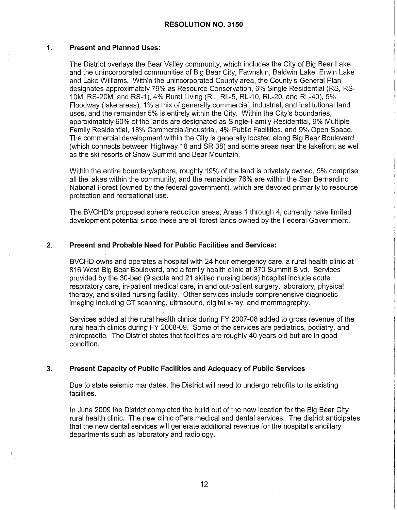# **1. Present and Planned Uses:**

(

The District overlays the Bear Valley community, which includes the City of Big Bear Lake and the unincorporated communities of Big Bear City, Fawnskin, Baldwin Lake, Erwin Lake and Lake Williams. Within the unincorporated County area, the County's General Plan designates approximately 79% as Resource Conservation, 6% Single Residential (RS, RS-10M, RS-20M, and RS-1), 4% Rural Living (RL, RL-5, RL-10, RL-20, and RL-40), 5% Floodway (lake areas), 1% a mix of generally commercial, industrial, and institutional land uses, and the remainder 5% is entirely within the City. Within the City's boundaries, approximately 60% of the lands are designated as Single-Family Residential, 9% Multiple Family Residential, 18% Commercial/Industrial, 4% Public Facilities, and 9% Open Space. The commercial development within the City is generally located along Big Bear Boulevard (which connects between Highway 18 and SR 38) and some areas near the lakefront as well as the ski resorts of Snow Summit and Bear Mountain.

Within the entire boundary/sphere, roughly 19% of the land is privately owned, 5% comprise all the lakes within the community, and the remainder 76% are within the San Bernardino National Forest (owned by the federal government), which are devoted primarily to resource protection and recreational use.

The BVCHD's proposed sphere reduction areas, Areas 1 through 4, currently have limited development potential since these are all forest lands owned by the Federal Government.

# **2. Present and Probable Need for Public Facilities and Services:**

BVCHD owns and operates a hospital with 24 hour emergency care, a rural health clinic at 816 West Big Bear Boulevard, and a family health clinic at 370 Summit Blvd. Services provided by the 30-bed (9 acute and 21 skilled nursing beds) hospital include acute respiratory care, in-patient medical care, in and out-patient surgery, laboratory, physical therapy, and skilled nursing facility. Other services include comprehensive diagnostic imaging including CT scanning, ultrasound, digital x-ray, and mammography.

Services added at the rural health clinics during FY 2007-08 added to gross revenue of the rural health clinics during FY 2008-09. Some of the services are pediatrics, podiatry, and chiropractic. The District states that facilities are roughly 40 years old but are in good condition.

# **3. Present Capacity of Public Facilities and Adequacy of Public Services**

Due to state seismic mandates, the District will need to undergo retrofits to its existing facilities.

In June 2009 the District completed the build out of the new location for the Big Bear City rural health clinic. The new clinic offers medical and dental services. The district anticipates that the new dental services will generate additional revenue for the hospital's ancillary departments such as laboratory and radiology.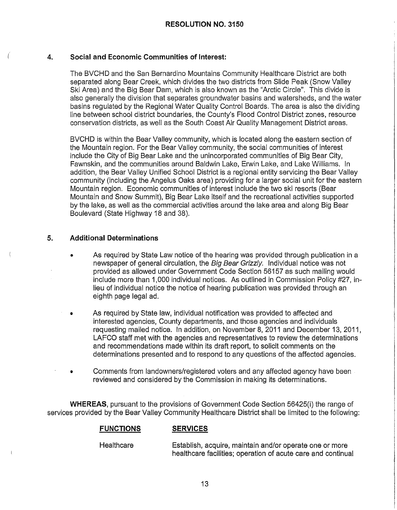#### **4. Social and Economic Communities of Interest:**

The BVCHD and the San Bernardino Mountains Community Healthcare District are both separated along Bear Creek, which divides the two districts from Slide Peak (Snow Valley Ski Area) and the Big Bear Dam, which is also known as the "Arctic Circle". This divide is also generally the division that separates groundwater basins and watersheds, and the water basins regulated by the Regional Water Quality Control Boards. The area is also the dividing line between school district boundaries, the County's Flood Control District zones, resource conservation districts, as well as the South Coast Air Quality Management District areas.

BVCHD is within the Bear Valley community, which is located along the eastern section of the Mountain region. For the Bear Valley community, the social communities of interest include the City of Big Bear Lake and the unincorporated communities of Big Bear City, Fawnskin, and the communities around Baldwin Lake, Erwin Lake, and Lake Williams. In addition, the Bear Valley Unified School District is a regional entity servicing the Bear Valley community (including the Angelus Oaks area) providing for a larger social unit for the eastern Mountain region. Economic communities of interest include the two ski resorts (Bear Mountain and Snow Summit), Big Bear Lake itself and the recreational activities supported by the lake, as well as the commercial activities around the lake area and along Big Bear Boulevard (State Highway 18 and 38).

# **5. Additional Determinations**

- As required by State Law notice of the hearing was provided through publication in a newspaper of general circulation, the Big Bear Grizzly. Individual notice was not provided as allowed under Government Code Section 56157 as such mailing would include more than 1,000 individual notices. As outlined in Commission Policy #27, inlieu of individual notice the notice of hearing publication was provided through an eighth page legal ad.
- As required by State law, individual notification was provided to affected and interested agencies, County departments, and those agencies and individuals requesting mailed notice. In addition, on November 8, 2011 and December 13, 2011, LAFCO staff met with the agencies and representatives to review the determinations and recommendations made within its draft report, to solicit comments on the determinations presented and to respond to any questions of the affected agencies.
- Comments from landowners/registered voters and any affected agency have been reviewed and considered by the Commission in making its determinations.

**WHEREAS,** pursuant to the provisions of Government Code Section 56425(i) the range of services provided by the Bear Valley Community Healthcare District shall be limited to the following:

#### **FUNCTIONS SERVICES**

**Healthcare** Establish, acquire, maintain and/or operate one or more healthcare facilities; operation of acute care and continual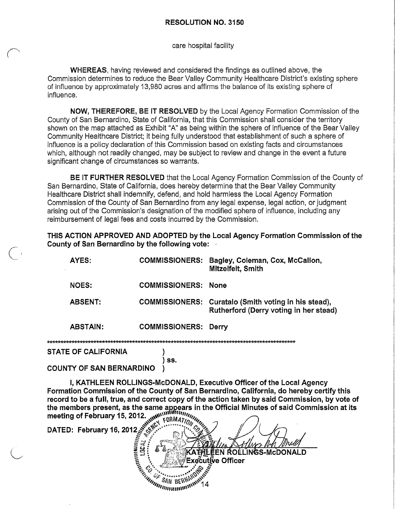care hospital facility

**WHEREAS,** having reviewed and considered the findings as outlined above, the Commission determines to reduce the Bear Valley Community Healthcare District's existing sphere of influence by approximately 13,980 acres and affirms the balance of its existing sphere of influence.

**NOW, THEREFORE, BE IT RESOLVED** by the Local Agency Formation Commission of the County of San Bernardino, State of California, that this Commission shall consider the territory shown on the map attached as Exhibit "A" as being within the sphere of influence of the Bear Valley Community Healthcare District; it being fully understood that establishment of such a sphere of influence is a policy declaration of this Commission based on existing facts and circumstances which, although not readily changed, may be subject to review and change in the event a future significant change of circumstances so warrants.

**BE IT FURTHER RESOLVED** that the Local Agency Formation Commission of the County of San Bernardino, State of California, does hereby determine that the Bear Valley Community Healthcare District shall indemnify, defend, and hold harmless the Local Agency Formation Commission of the County of San Bernardino from any legal expense, legal action, or judgment arising out of the Commission's designation of the modified sphere of influence, including any reimbursement of legal fees and costs incurred by the Commission.

**THIS ACTION APPROVED AND ADOPTED by the Local Agency Formation Commission of the County of San Bernardino by the following vote:** ·

| AYES:           | <b>COMMISSIONERS:</b>       | Bagley, Coleman, Cox, McCallon,<br>Mitzelfelt, Smith                                           |
|-----------------|-----------------------------|------------------------------------------------------------------------------------------------|
| <b>NOES:</b>    | <b>COMMISSIONERS:</b>       | <b>None</b>                                                                                    |
| <b>ABSENT:</b>  |                             | COMMISSIONERS: Curatalo (Smith voting in his stead),<br>Rutherford (Derry voting in her stead) |
| <b>ABSTAIN:</b> | <b>COMMISSIONERS: Derry</b> |                                                                                                |
|                 |                             |                                                                                                |

**STATE OF CALIFORNIA** 

) ss.  $\lambda$ 

# **COUNTY OF SAN BERNARDINO**

I. KATHLEEN ROLLINGS-McDONALD, Executive Officer of the Local Agency Formation Commission of the County of San Bernardino, California, do hereby certify this record to be a full, true, and correct copy of the action taken by said Commission, by vote of record to be a full, true, and correct copy of the action taken by said Commission, by vote of<br>the members present, as the same appears in the Official Minutes of said Commission at its<br>meeting of February 15, 2012.<br>DATED